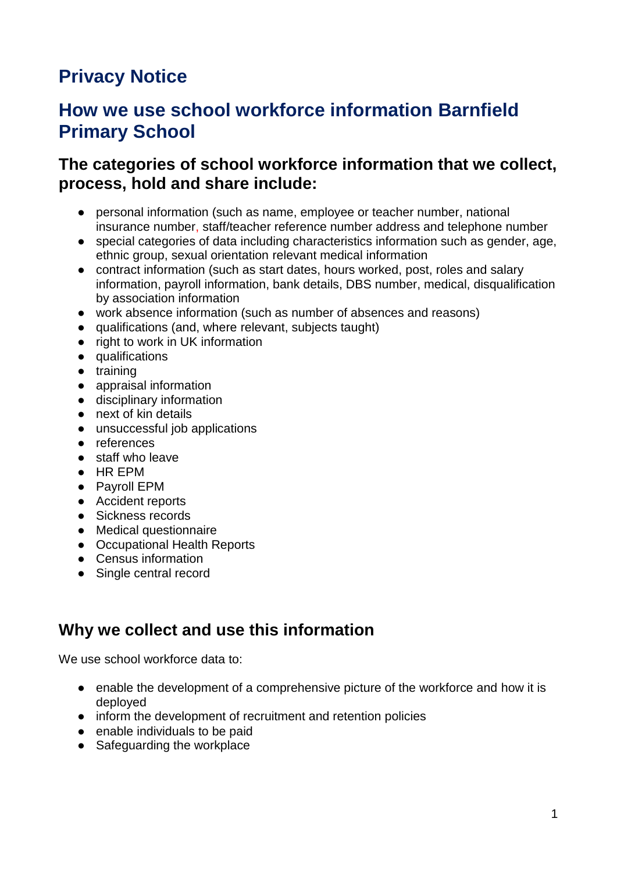# **Privacy Notice**

# **How we use school workforce information Barnfield Primary School**

#### **The categories of school workforce information that we collect, process, hold and share include:**

- personal information (such as name, employee or teacher number, national insurance number, staff/teacher reference number address and telephone number
- special categories of data including characteristics information such as gender, age, ethnic group, sexual orientation relevant medical information
- contract information (such as start dates, hours worked, post, roles and salary information, payroll information, bank details, DBS number, medical, disqualification by association information
- work absence information (such as number of absences and reasons)
- qualifications (and, where relevant, subjects taught)
- right to work in UK information
- qualifications
- training
- appraisal information
- disciplinary information
- next of kin details
- unsuccessful job applications
- references
- staff who leave
- HR EPM
- Payroll EPM
- Accident reports
- Sickness records
- Medical questionnaire
- Occupational Health Reports
- Census information
- Single central record

## **Why we collect and use this information**

We use school workforce data to:

- enable the development of a comprehensive picture of the workforce and how it is deployed
- inform the development of recruitment and retention policies
- enable individuals to be paid
- Safeguarding the workplace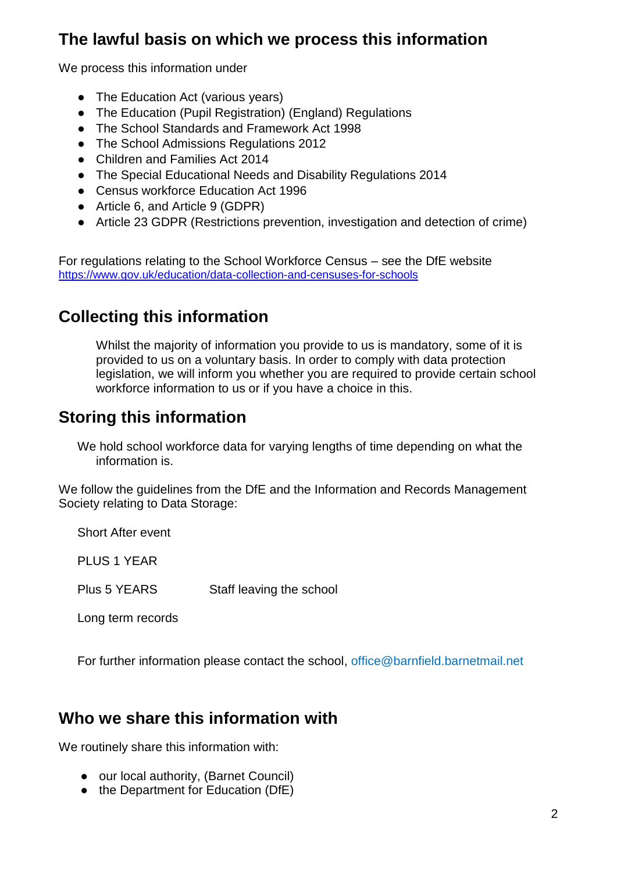# **The lawful basis on which we process this information**

We process this information under

- The Education Act (various years)
- The Education (Pupil Registration) (England) Regulations
- The School Standards and Framework Act 1998
- The School Admissions Regulations 2012
- Children and Families Act 2014
- The Special Educational Needs and Disability Regulations 2014
- Census workforce Education Act 1996
- Article 6, and Article 9 (GDPR)
- Article 23 GDPR (Restrictions prevention, investigation and detection of crime)

For regulations relating to the School Workforce Census – see the DfE website <https://www.gov.uk/education/data-collection-and-censuses-for-schools>

### **Collecting this information**

Whilst the majority of information you provide to us is mandatory, some of it is provided to us on a voluntary basis. In order to comply with data protection legislation, we will inform you whether you are required to provide certain school workforce information to us or if you have a choice in this.

### **Storing this information**

We hold school workforce data for varying lengths of time depending on what the information is.

We follow the guidelines from the DfE and the Information and Records Management Society relating to Data Storage:

Short After event PLUS 1 YEAR Plus 5 YEARS Staff leaving the school Long term records

For further information please contact the school, office@barnfield.barnetmail.net

#### **Who we share this information with**

We routinely share this information with:

- our local authority, (Barnet Council)
- the Department for Education (DfE)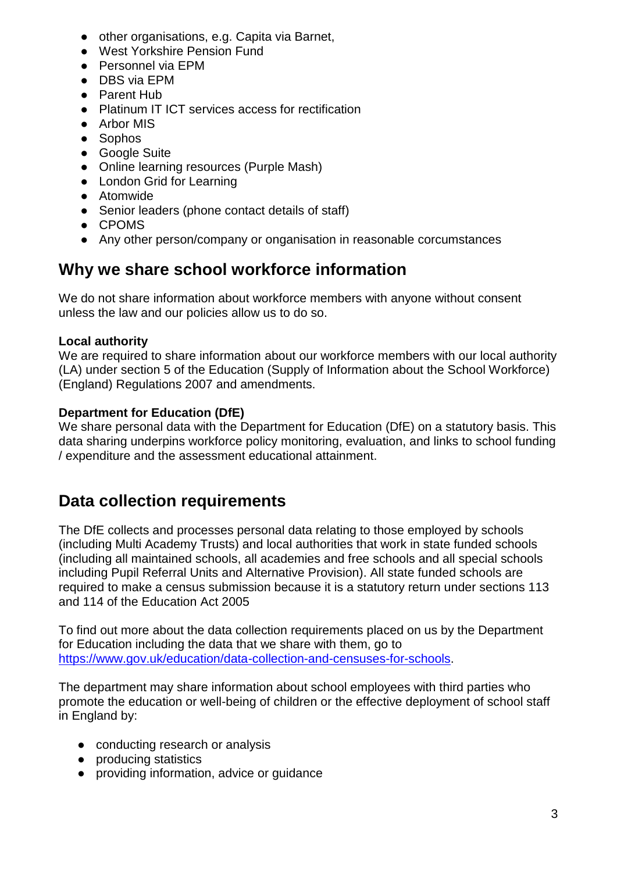- other organisations, e.g. Capita via Barnet,
- West Yorkshire Pension Fund
- Personnel via EPM
- DBS via EPM
- Parent Hub
- Platinum IT ICT services access for rectification
- Arbor MIS
- Sophos
- Google Suite
- Online learning resources (Purple Mash)
- London Grid for Learning
- Atomwide
- Senior leaders (phone contact details of staff)
- CPOMS
- Any other person/company or onganisation in reasonable corcumstances

## **Why we share school workforce information**

We do not share information about workforce members with anyone without consent unless the law and our policies allow us to do so.

#### **Local authority**

We are required to share information about our workforce members with our local authority (LA) under section 5 of the Education (Supply of Information about the School Workforce) (England) Regulations 2007 and amendments.

#### **Department for Education (DfE)**

We share personal data with the Department for Education (DfE) on a statutory basis. This data sharing underpins workforce policy monitoring, evaluation, and links to school funding / expenditure and the assessment educational attainment.

# **Data collection requirements**

The DfE collects and processes personal data relating to those employed by schools (including Multi Academy Trusts) and local authorities that work in state funded schools (including all maintained schools, all academies and free schools and all special schools including Pupil Referral Units and Alternative Provision). All state funded schools are required to make a census submission because it is a statutory return under sections 113 and 114 of the Education Act 2005

To find out more about the data collection requirements placed on us by the Department for Education including the data that we share with them, go to [https://www.gov.uk/education/data-collection-and-censuses-for-schools.](https://www.gov.uk/education/data-collection-and-censuses-for-schools)

The department may share information about school employees with third parties who promote the education or well-being of children or the effective deployment of school staff in England by:

- conducting research or analysis
- producing statistics
- providing information, advice or guidance